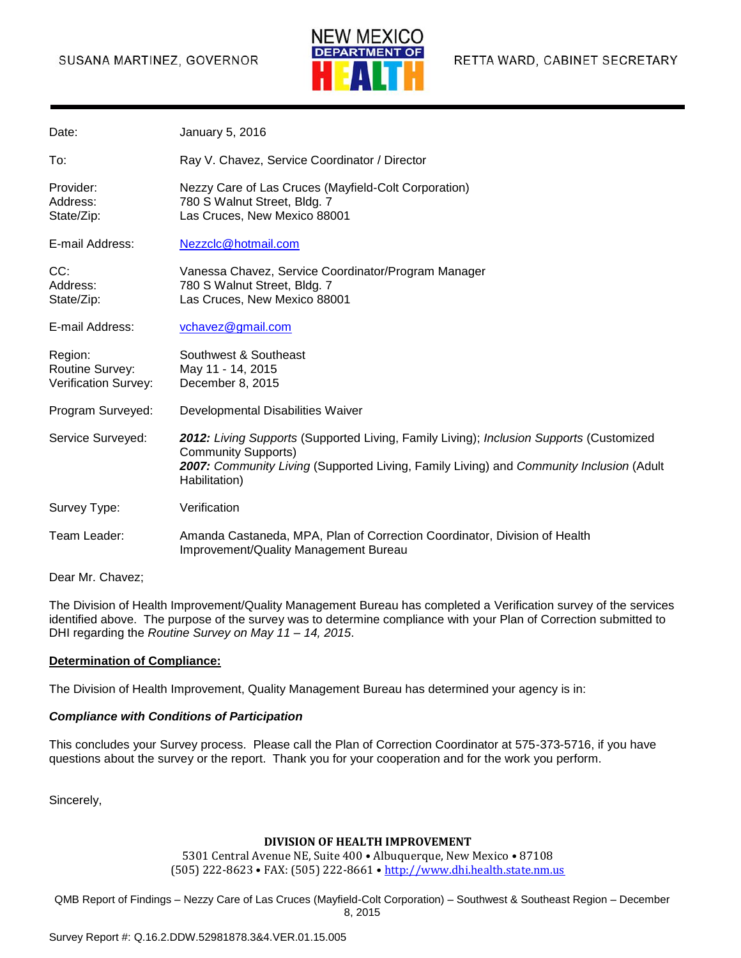### SUSANA MARTINEZ, GOVERNOR



| Date:                                              | January 5, 2016                                                                                                                                                                                                                   |
|----------------------------------------------------|-----------------------------------------------------------------------------------------------------------------------------------------------------------------------------------------------------------------------------------|
| To:                                                | Ray V. Chavez, Service Coordinator / Director                                                                                                                                                                                     |
| Provider:<br>Address:<br>State/Zip:                | Nezzy Care of Las Cruces (Mayfield-Colt Corporation)<br>780 S Walnut Street, Bldg. 7<br>Las Cruces, New Mexico 88001                                                                                                              |
| E-mail Address:                                    | Nezzclc@hotmail.com                                                                                                                                                                                                               |
| CC:<br>Address:<br>State/Zip:                      | Vanessa Chavez, Service Coordinator/Program Manager<br>780 S Walnut Street, Bldg. 7<br>Las Cruces, New Mexico 88001                                                                                                               |
| E-mail Address:                                    | vchavez@gmail.com                                                                                                                                                                                                                 |
| Region:<br>Routine Survey:<br>Verification Survey: | Southwest & Southeast<br>May 11 - 14, 2015<br>December 8, 2015                                                                                                                                                                    |
| Program Surveyed:                                  | Developmental Disabilities Waiver                                                                                                                                                                                                 |
| Service Surveyed:                                  | 2012: Living Supports (Supported Living, Family Living); Inclusion Supports (Customized<br><b>Community Supports)</b><br>2007: Community Living (Supported Living, Family Living) and Community Inclusion (Adult<br>Habilitation) |
| Survey Type:                                       | Verification                                                                                                                                                                                                                      |
| Team Leader:                                       | Amanda Castaneda, MPA, Plan of Correction Coordinator, Division of Health<br>Improvement/Quality Management Bureau                                                                                                                |

Dear Mr. Chavez;

The Division of Health Improvement/Quality Management Bureau has completed a Verification survey of the services identified above. The purpose of the survey was to determine compliance with your Plan of Correction submitted to DHI regarding the *Routine Survey on May 11 – 14, 2015*.

#### **Determination of Compliance:**

The Division of Health Improvement, Quality Management Bureau has determined your agency is in:

#### *Compliance with Conditions of Participation*

This concludes your Survey process. Please call the Plan of Correction Coordinator at 575-373-5716, if you have questions about the survey or the report. Thank you for your cooperation and for the work you perform.

Sincerely,

#### **DIVISION OF HEALTH IMPROVEMENT**

5301 Central Avenue NE, Suite 400 • Albuquerque, New Mexico • 87108 (505) 222-8623 • FAX: (505) 222-8661 • [http://www.dhi.health.state.nm.us](http://www.dhi.health.state.nm.us/)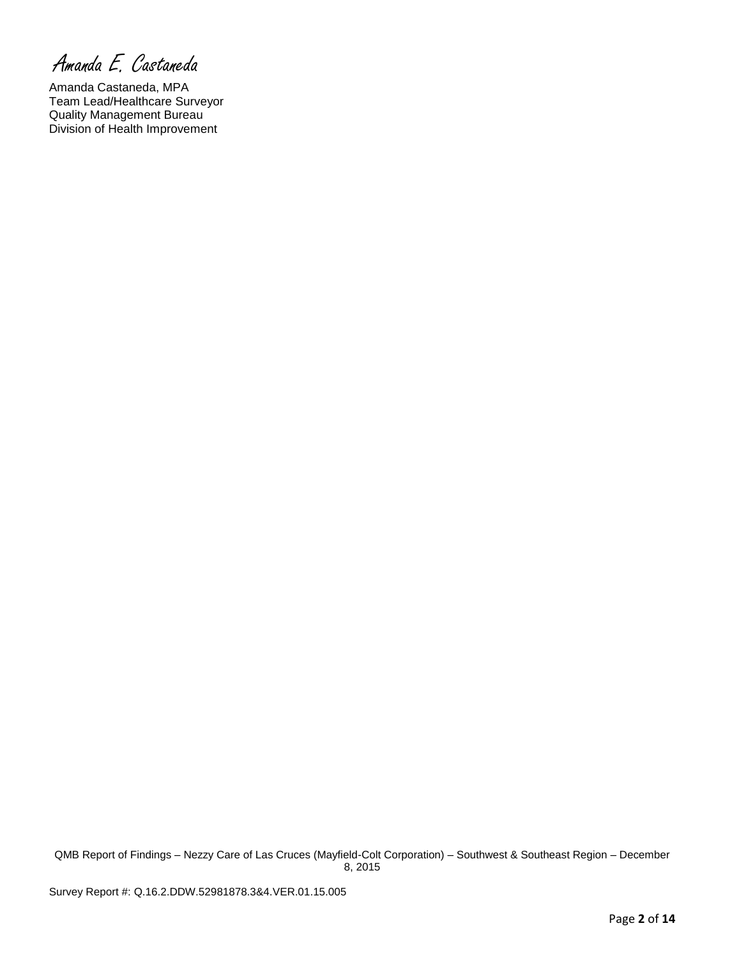Amanda E. Castaneda

Amanda Castaneda, MPA Team Lead/Healthcare Surveyor Quality Management Bureau Division of Health Improvement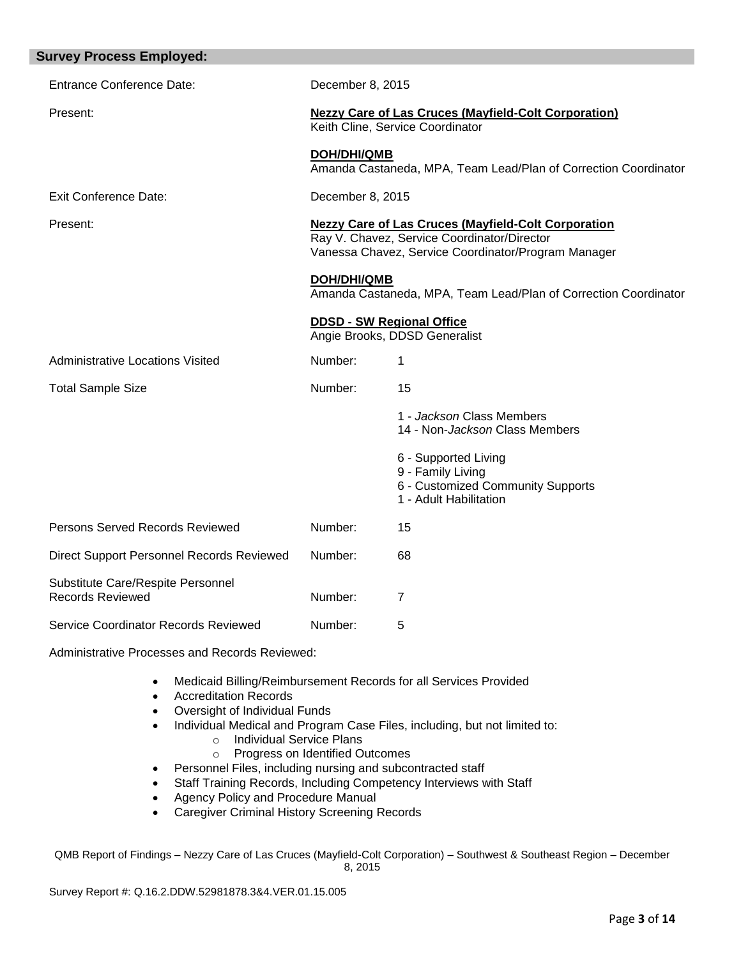| <b>Survey Process Employed:</b>                              |                                                                                                                                                                  |                                                                                                          |  |
|--------------------------------------------------------------|------------------------------------------------------------------------------------------------------------------------------------------------------------------|----------------------------------------------------------------------------------------------------------|--|
| <b>Entrance Conference Date:</b>                             | December 8, 2015                                                                                                                                                 |                                                                                                          |  |
| Present:                                                     | <b>Nezzy Care of Las Cruces (Mayfield-Colt Corporation)</b><br>Keith Cline, Service Coordinator                                                                  |                                                                                                          |  |
|                                                              | <b>DOH/DHI/QMB</b><br>Amanda Castaneda, MPA, Team Lead/Plan of Correction Coordinator                                                                            |                                                                                                          |  |
| <b>Exit Conference Date:</b>                                 | December 8, 2015                                                                                                                                                 |                                                                                                          |  |
| Present:                                                     | <b>Nezzy Care of Las Cruces (Mayfield-Colt Corporation</b><br>Ray V. Chavez, Service Coordinator/Director<br>Vanessa Chavez, Service Coordinator/Program Manager |                                                                                                          |  |
|                                                              | <b>DOH/DHI/QMB</b><br>Amanda Castaneda, MPA, Team Lead/Plan of Correction Coordinator                                                                            |                                                                                                          |  |
|                                                              | <b>DDSD - SW Regional Office</b><br>Angie Brooks, DDSD Generalist                                                                                                |                                                                                                          |  |
| <b>Administrative Locations Visited</b>                      | Number:                                                                                                                                                          | 1                                                                                                        |  |
| <b>Total Sample Size</b>                                     | Number:                                                                                                                                                          | 15                                                                                                       |  |
|                                                              |                                                                                                                                                                  | 1 - Jackson Class Members<br>14 - Non-Jackson Class Members                                              |  |
|                                                              |                                                                                                                                                                  | 6 - Supported Living<br>9 - Family Living<br>6 - Customized Community Supports<br>1 - Adult Habilitation |  |
| <b>Persons Served Records Reviewed</b>                       | Number:                                                                                                                                                          | 15                                                                                                       |  |
| Direct Support Personnel Records Reviewed                    | Number:                                                                                                                                                          | 68                                                                                                       |  |
| Substitute Care/Respite Personnel<br><b>Records Reviewed</b> | Number:                                                                                                                                                          | 7                                                                                                        |  |
| Service Coordinator Records Reviewed                         | Number:                                                                                                                                                          | 5                                                                                                        |  |

Administrative Processes and Records Reviewed:

- Medicaid Billing/Reimbursement Records for all Services Provided
- Accreditation Records
- Oversight of Individual Funds
- Individual Medical and Program Case Files, including, but not limited to:
	- o Individual Service Plans
	- o Progress on Identified Outcomes
- Personnel Files, including nursing and subcontracted staff
- Staff Training Records, Including Competency Interviews with Staff
- Agency Policy and Procedure Manual
- Caregiver Criminal History Screening Records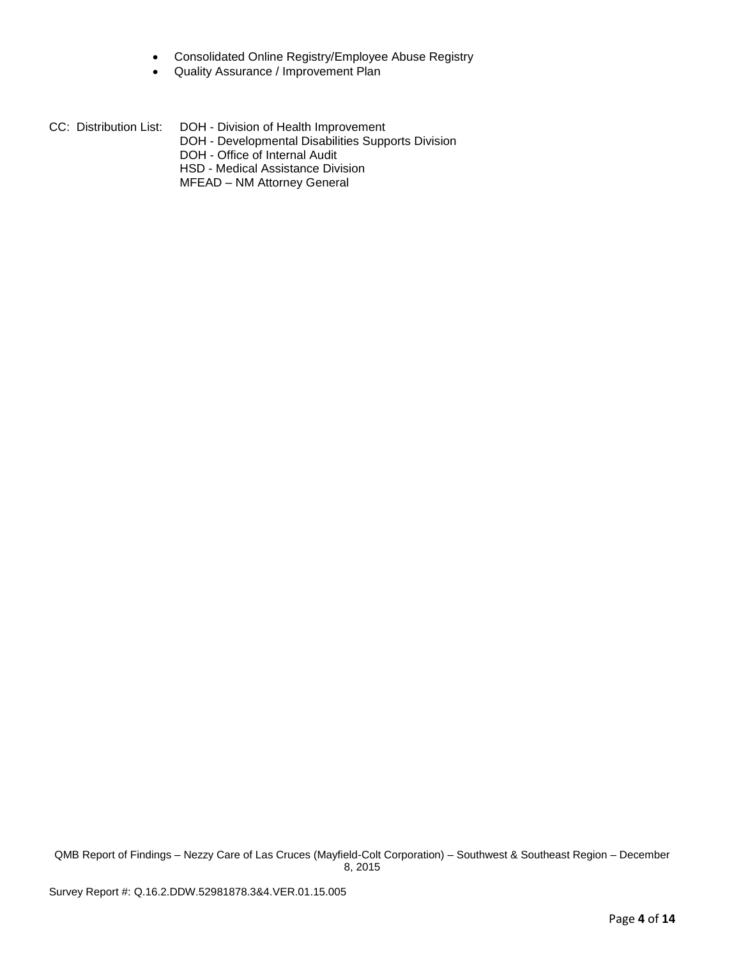- Consolidated Online Registry/Employee Abuse Registry
- Quality Assurance / Improvement Plan

| CC: Distribution List: . | DOH - Division of Health Improvement<br>DOH - Developmental Disabilities Supports Division<br>DOH - Office of Internal Audit<br>HSD - Medical Assistance Division |
|--------------------------|-------------------------------------------------------------------------------------------------------------------------------------------------------------------|
|                          |                                                                                                                                                                   |

MFEAD – NM Attorney General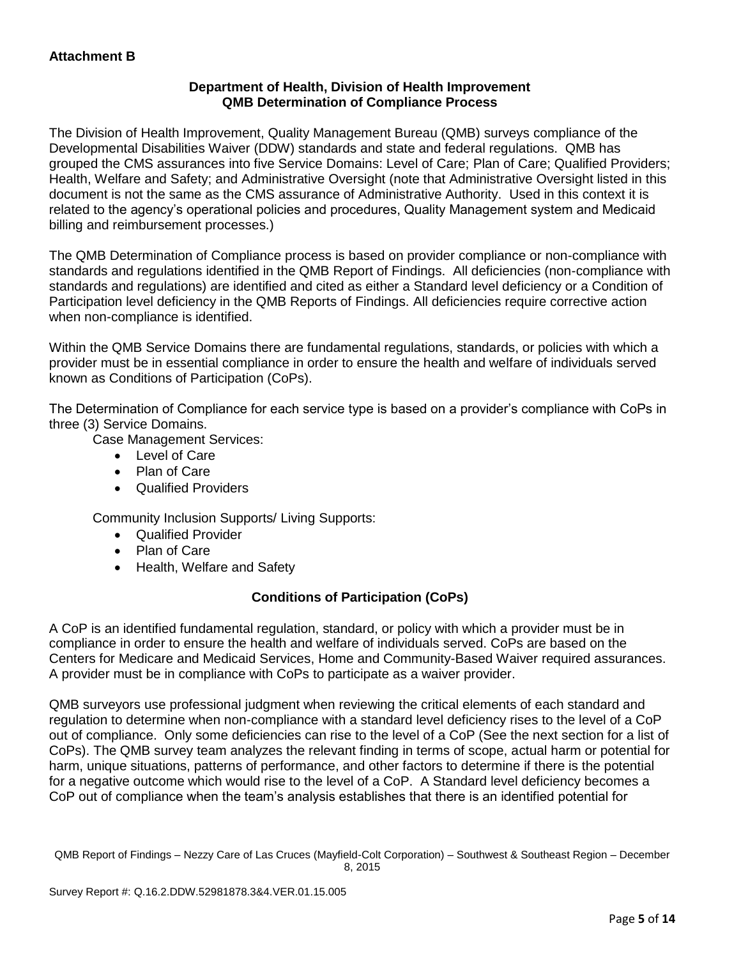# **Department of Health, Division of Health Improvement QMB Determination of Compliance Process**

The Division of Health Improvement, Quality Management Bureau (QMB) surveys compliance of the Developmental Disabilities Waiver (DDW) standards and state and federal regulations. QMB has grouped the CMS assurances into five Service Domains: Level of Care; Plan of Care; Qualified Providers; Health, Welfare and Safety; and Administrative Oversight (note that Administrative Oversight listed in this document is not the same as the CMS assurance of Administrative Authority. Used in this context it is related to the agency's operational policies and procedures, Quality Management system and Medicaid billing and reimbursement processes.)

The QMB Determination of Compliance process is based on provider compliance or non-compliance with standards and regulations identified in the QMB Report of Findings. All deficiencies (non-compliance with standards and regulations) are identified and cited as either a Standard level deficiency or a Condition of Participation level deficiency in the QMB Reports of Findings. All deficiencies require corrective action when non-compliance is identified.

Within the QMB Service Domains there are fundamental regulations, standards, or policies with which a provider must be in essential compliance in order to ensure the health and welfare of individuals served known as Conditions of Participation (CoPs).

The Determination of Compliance for each service type is based on a provider's compliance with CoPs in three (3) Service Domains.

Case Management Services:

- Level of Care
- Plan of Care
- Qualified Providers

Community Inclusion Supports/ Living Supports:

- Qualified Provider
- Plan of Care
- Health, Welfare and Safety

# **Conditions of Participation (CoPs)**

A CoP is an identified fundamental regulation, standard, or policy with which a provider must be in compliance in order to ensure the health and welfare of individuals served. CoPs are based on the Centers for Medicare and Medicaid Services, Home and Community-Based Waiver required assurances. A provider must be in compliance with CoPs to participate as a waiver provider.

QMB surveyors use professional judgment when reviewing the critical elements of each standard and regulation to determine when non-compliance with a standard level deficiency rises to the level of a CoP out of compliance. Only some deficiencies can rise to the level of a CoP (See the next section for a list of CoPs). The QMB survey team analyzes the relevant finding in terms of scope, actual harm or potential for harm, unique situations, patterns of performance, and other factors to determine if there is the potential for a negative outcome which would rise to the level of a CoP. A Standard level deficiency becomes a CoP out of compliance when the team's analysis establishes that there is an identified potential for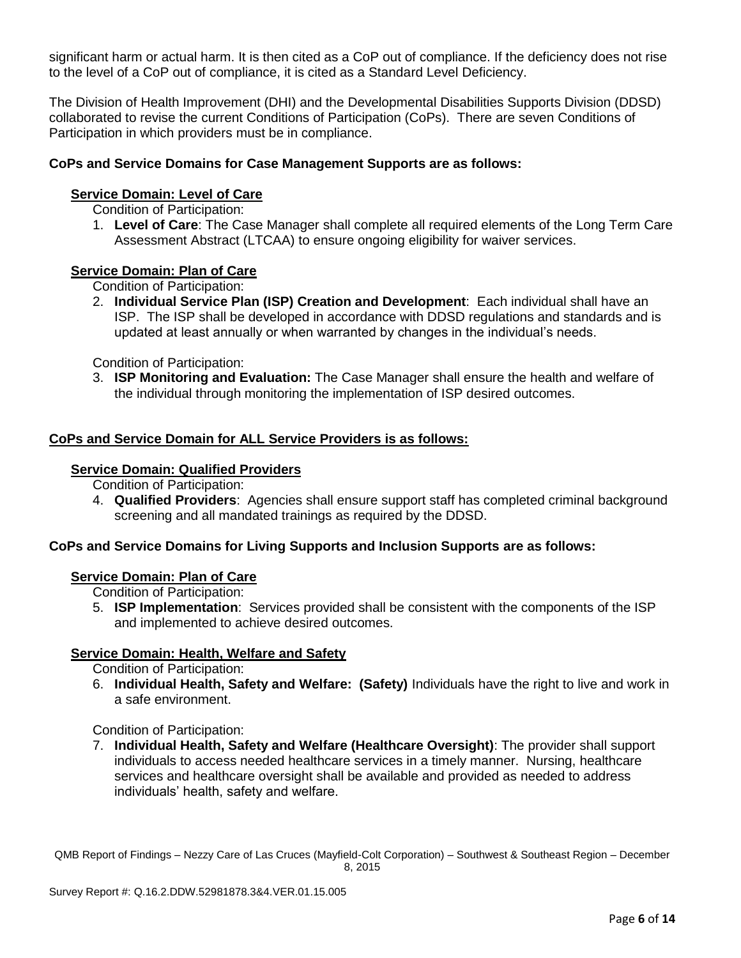significant harm or actual harm. It is then cited as a CoP out of compliance. If the deficiency does not rise to the level of a CoP out of compliance, it is cited as a Standard Level Deficiency.

The Division of Health Improvement (DHI) and the Developmental Disabilities Supports Division (DDSD) collaborated to revise the current Conditions of Participation (CoPs). There are seven Conditions of Participation in which providers must be in compliance.

## **CoPs and Service Domains for Case Management Supports are as follows:**

### **Service Domain: Level of Care**

Condition of Participation:

1. **Level of Care**: The Case Manager shall complete all required elements of the Long Term Care Assessment Abstract (LTCAA) to ensure ongoing eligibility for waiver services.

### **Service Domain: Plan of Care**

Condition of Participation:

2. **Individual Service Plan (ISP) Creation and Development**: Each individual shall have an ISP. The ISP shall be developed in accordance with DDSD regulations and standards and is updated at least annually or when warranted by changes in the individual's needs.

Condition of Participation:

3. **ISP Monitoring and Evaluation:** The Case Manager shall ensure the health and welfare of the individual through monitoring the implementation of ISP desired outcomes.

### **CoPs and Service Domain for ALL Service Providers is as follows:**

## **Service Domain: Qualified Providers**

Condition of Participation:

4. **Qualified Providers**: Agencies shall ensure support staff has completed criminal background screening and all mandated trainings as required by the DDSD.

### **CoPs and Service Domains for Living Supports and Inclusion Supports are as follows:**

### **Service Domain: Plan of Care**

Condition of Participation:

5. **ISP Implementation**: Services provided shall be consistent with the components of the ISP and implemented to achieve desired outcomes.

### **Service Domain: Health, Welfare and Safety**

Condition of Participation:

6. **Individual Health, Safety and Welfare: (Safety)** Individuals have the right to live and work in a safe environment.

### Condition of Participation:

7. **Individual Health, Safety and Welfare (Healthcare Oversight)**: The provider shall support individuals to access needed healthcare services in a timely manner. Nursing, healthcare services and healthcare oversight shall be available and provided as needed to address individuals' health, safety and welfare.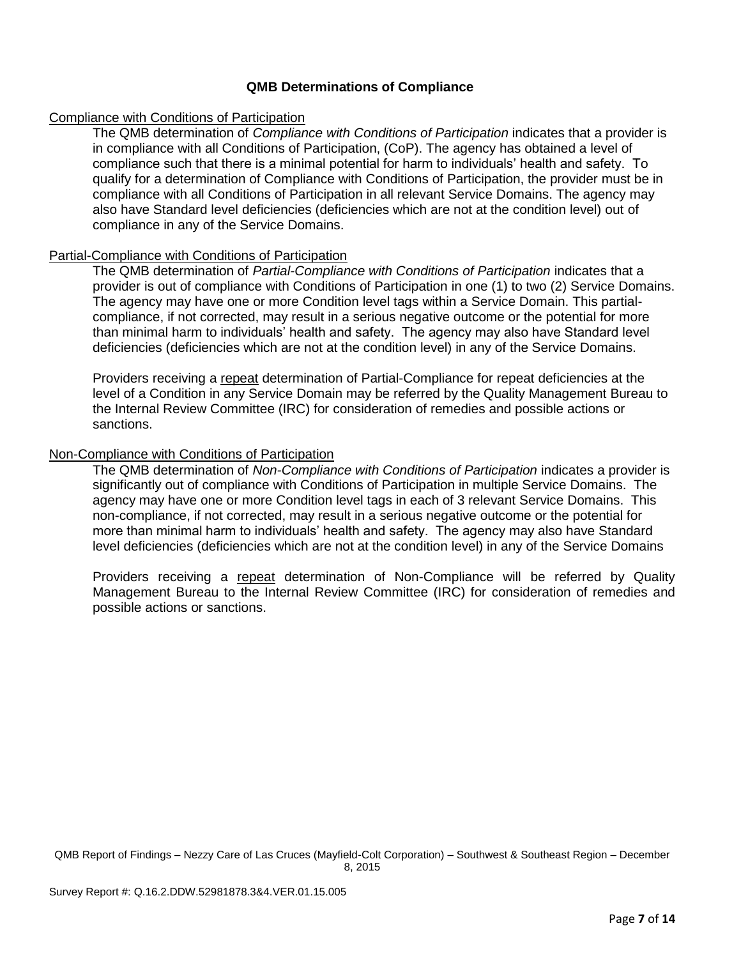## **QMB Determinations of Compliance**

### Compliance with Conditions of Participation

The QMB determination of *Compliance with Conditions of Participation* indicates that a provider is in compliance with all Conditions of Participation, (CoP). The agency has obtained a level of compliance such that there is a minimal potential for harm to individuals' health and safety. To qualify for a determination of Compliance with Conditions of Participation, the provider must be in compliance with all Conditions of Participation in all relevant Service Domains. The agency may also have Standard level deficiencies (deficiencies which are not at the condition level) out of compliance in any of the Service Domains.

## Partial-Compliance with Conditions of Participation

The QMB determination of *Partial-Compliance with Conditions of Participation* indicates that a provider is out of compliance with Conditions of Participation in one (1) to two (2) Service Domains. The agency may have one or more Condition level tags within a Service Domain. This partialcompliance, if not corrected, may result in a serious negative outcome or the potential for more than minimal harm to individuals' health and safety. The agency may also have Standard level deficiencies (deficiencies which are not at the condition level) in any of the Service Domains.

Providers receiving a repeat determination of Partial-Compliance for repeat deficiencies at the level of a Condition in any Service Domain may be referred by the Quality Management Bureau to the Internal Review Committee (IRC) for consideration of remedies and possible actions or sanctions.

### Non-Compliance with Conditions of Participation

The QMB determination of *Non-Compliance with Conditions of Participation* indicates a provider is significantly out of compliance with Conditions of Participation in multiple Service Domains. The agency may have one or more Condition level tags in each of 3 relevant Service Domains. This non-compliance, if not corrected, may result in a serious negative outcome or the potential for more than minimal harm to individuals' health and safety. The agency may also have Standard level deficiencies (deficiencies which are not at the condition level) in any of the Service Domains

Providers receiving a repeat determination of Non-Compliance will be referred by Quality Management Bureau to the Internal Review Committee (IRC) for consideration of remedies and possible actions or sanctions.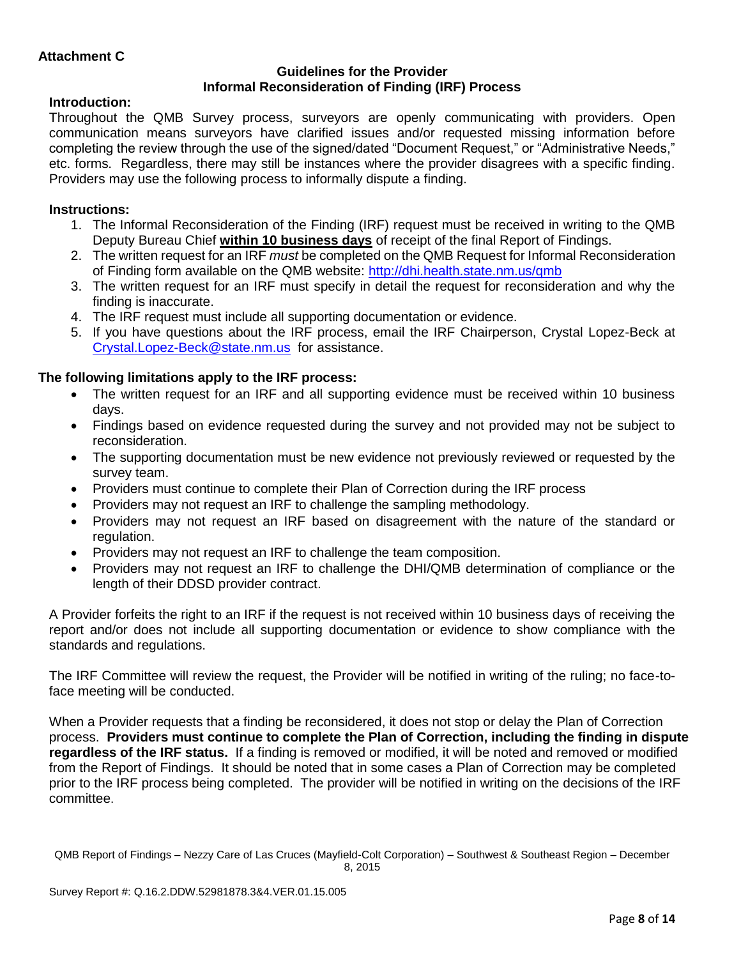## **Guidelines for the Provider Informal Reconsideration of Finding (IRF) Process**

# **Introduction:**

Throughout the QMB Survey process, surveyors are openly communicating with providers. Open communication means surveyors have clarified issues and/or requested missing information before completing the review through the use of the signed/dated "Document Request," or "Administrative Needs," etc. forms. Regardless, there may still be instances where the provider disagrees with a specific finding. Providers may use the following process to informally dispute a finding.

# **Instructions:**

- 1. The Informal Reconsideration of the Finding (IRF) request must be received in writing to the QMB Deputy Bureau Chief **within 10 business days** of receipt of the final Report of Findings.
- 2. The written request for an IRF *must* be completed on the QMB Request for Informal Reconsideration of Finding form available on the QMB website:<http://dhi.health.state.nm.us/qmb>
- 3. The written request for an IRF must specify in detail the request for reconsideration and why the finding is inaccurate.
- 4. The IRF request must include all supporting documentation or evidence.
- 5. If you have questions about the IRF process, email the IRF Chairperson, Crystal Lopez-Beck at [Crystal.Lopez-Beck@state.nm.us](mailto:Crystal.Lopez-Beck@state.nm.us) for assistance.

# **The following limitations apply to the IRF process:**

- The written request for an IRF and all supporting evidence must be received within 10 business days.
- Findings based on evidence requested during the survey and not provided may not be subject to reconsideration.
- The supporting documentation must be new evidence not previously reviewed or requested by the survey team.
- Providers must continue to complete their Plan of Correction during the IRF process
- Providers may not request an IRF to challenge the sampling methodology.
- Providers may not request an IRF based on disagreement with the nature of the standard or regulation.
- Providers may not request an IRF to challenge the team composition.
- Providers may not request an IRF to challenge the DHI/QMB determination of compliance or the length of their DDSD provider contract.

A Provider forfeits the right to an IRF if the request is not received within 10 business days of receiving the report and/or does not include all supporting documentation or evidence to show compliance with the standards and regulations.

The IRF Committee will review the request, the Provider will be notified in writing of the ruling; no face-toface meeting will be conducted.

When a Provider requests that a finding be reconsidered, it does not stop or delay the Plan of Correction process. **Providers must continue to complete the Plan of Correction, including the finding in dispute regardless of the IRF status.** If a finding is removed or modified, it will be noted and removed or modified from the Report of Findings. It should be noted that in some cases a Plan of Correction may be completed prior to the IRF process being completed. The provider will be notified in writing on the decisions of the IRF committee.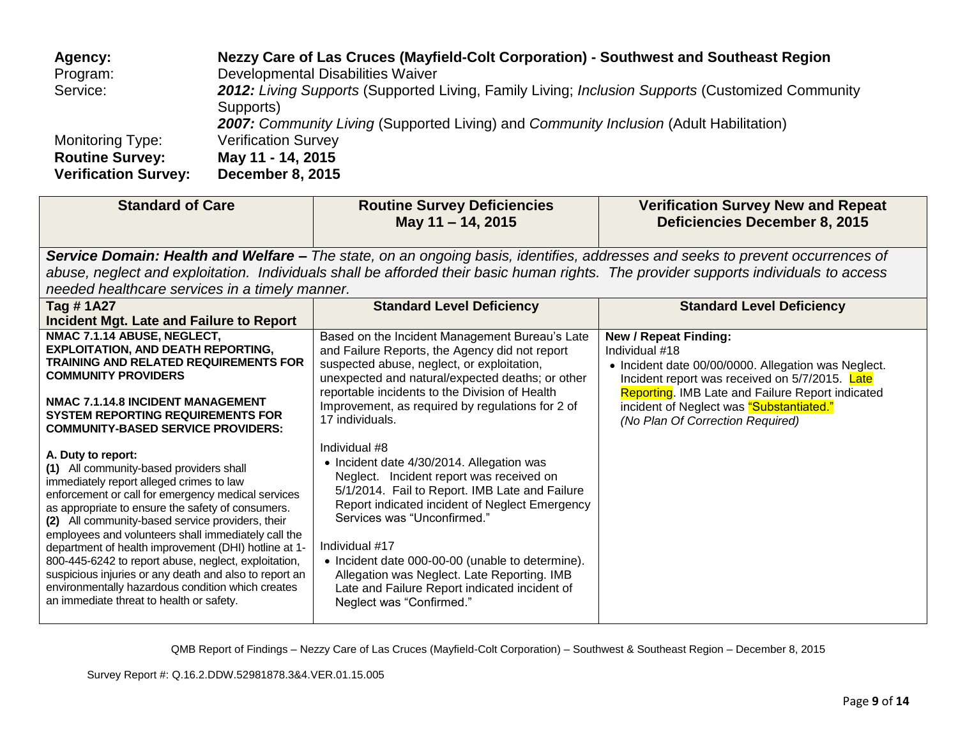| Agency:                     | Nezzy Care of Las Cruces (Mayfield-Colt Corporation) - Southwest and Southeast Region            |
|-----------------------------|--------------------------------------------------------------------------------------------------|
| Program:                    | Developmental Disabilities Waiver                                                                |
| Service:                    | 2012: Living Supports (Supported Living, Family Living; Inclusion Supports (Customized Community |
|                             | Supports)                                                                                        |
|                             | <b>2007:</b> Community Living (Supported Living) and Community Inclusion (Adult Habilitation)    |
| <b>Monitoring Type:</b>     | <b>Verification Survey</b>                                                                       |
| <b>Routine Survey:</b>      | May 11 - 14, 2015                                                                                |
| <b>Verification Survey:</b> | <b>December 8, 2015</b>                                                                          |

| <b>Standard of Care</b>                                                                                                                                                                                                                                                                                                                                                                                                                                                                                                                                                                                    | <b>Routine Survey Deficiencies</b><br>May 11 - 14, 2015                                                                                                                                                                                                                                                                                                                                                                                     | <b>Verification Survey New and Repeat</b><br><b>Deficiencies December 8, 2015</b>                                                                                                                                                                                                           |  |
|------------------------------------------------------------------------------------------------------------------------------------------------------------------------------------------------------------------------------------------------------------------------------------------------------------------------------------------------------------------------------------------------------------------------------------------------------------------------------------------------------------------------------------------------------------------------------------------------------------|---------------------------------------------------------------------------------------------------------------------------------------------------------------------------------------------------------------------------------------------------------------------------------------------------------------------------------------------------------------------------------------------------------------------------------------------|---------------------------------------------------------------------------------------------------------------------------------------------------------------------------------------------------------------------------------------------------------------------------------------------|--|
| Service Domain: Health and Welfare – The state, on an ongoing basis, identifies, addresses and seeks to prevent occurrences of<br>abuse, neglect and exploitation. Individuals shall be afforded their basic human rights. The provider supports individuals to access<br>needed healthcare services in a timely manner.                                                                                                                                                                                                                                                                                   |                                                                                                                                                                                                                                                                                                                                                                                                                                             |                                                                                                                                                                                                                                                                                             |  |
| Tag #1A27<br>Incident Mgt. Late and Failure to Report                                                                                                                                                                                                                                                                                                                                                                                                                                                                                                                                                      | <b>Standard Level Deficiency</b>                                                                                                                                                                                                                                                                                                                                                                                                            | <b>Standard Level Deficiency</b>                                                                                                                                                                                                                                                            |  |
| NMAC 7.1.14 ABUSE, NEGLECT,<br><b>EXPLOITATION, AND DEATH REPORTING,</b><br><b>TRAINING AND RELATED REQUIREMENTS FOR</b><br><b>COMMUNITY PROVIDERS</b><br><b>NMAC 7.1.14.8 INCIDENT MANAGEMENT</b><br><b>SYSTEM REPORTING REQUIREMENTS FOR</b><br><b>COMMUNITY-BASED SERVICE PROVIDERS:</b>                                                                                                                                                                                                                                                                                                                | Based on the Incident Management Bureau's Late<br>and Failure Reports, the Agency did not report<br>suspected abuse, neglect, or exploitation,<br>unexpected and natural/expected deaths; or other<br>reportable incidents to the Division of Health<br>Improvement, as required by regulations for 2 of<br>17 individuals.                                                                                                                 | <b>New / Repeat Finding:</b><br>Individual #18<br>• Incident date 00/00/0000. Allegation was Neglect.<br>Incident report was received on 5/7/2015. Late<br>Reporting. IMB Late and Failure Report indicated<br>incident of Neglect was "Substantiated."<br>(No Plan Of Correction Required) |  |
| A. Duty to report:<br>(1) All community-based providers shall<br>immediately report alleged crimes to law<br>enforcement or call for emergency medical services<br>as appropriate to ensure the safety of consumers.<br>(2) All community-based service providers, their<br>employees and volunteers shall immediately call the<br>department of health improvement (DHI) hotline at 1-<br>800-445-6242 to report abuse, neglect, exploitation,<br>suspicious injuries or any death and also to report an<br>environmentally hazardous condition which creates<br>an immediate threat to health or safety. | Individual #8<br>• Incident date 4/30/2014. Allegation was<br>Neglect. Incident report was received on<br>5/1/2014. Fail to Report. IMB Late and Failure<br>Report indicated incident of Neglect Emergency<br>Services was "Unconfirmed."<br>Individual #17<br>• Incident date 000-00-00 (unable to determine).<br>Allegation was Neglect. Late Reporting. IMB<br>Late and Failure Report indicated incident of<br>Neglect was "Confirmed." |                                                                                                                                                                                                                                                                                             |  |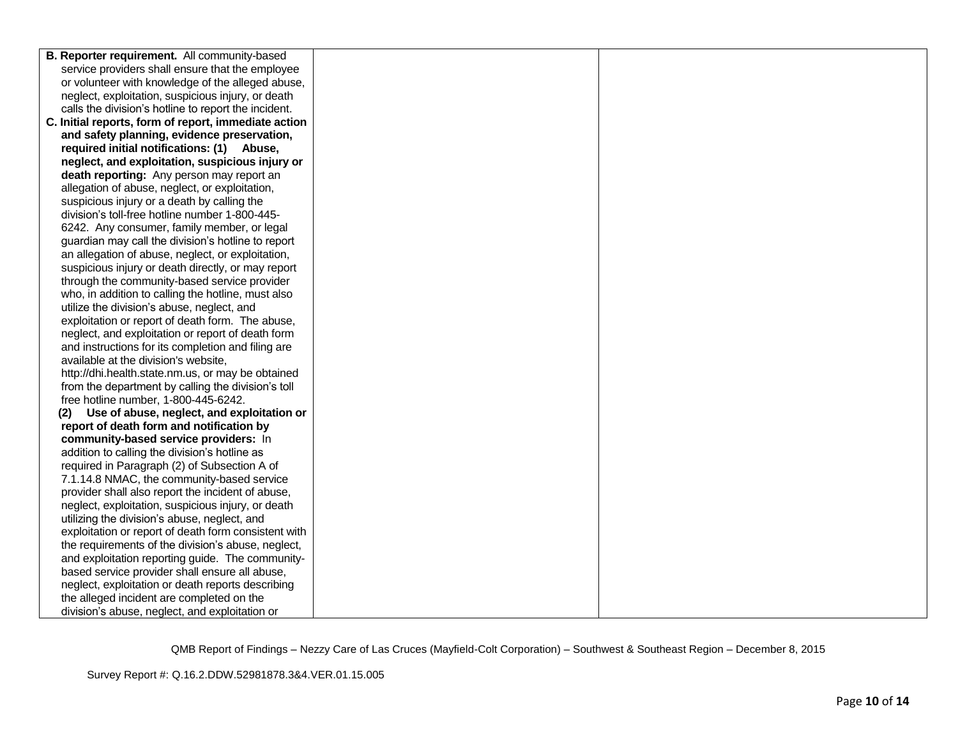| B. Reporter requirement. All community-based                                                         |  |
|------------------------------------------------------------------------------------------------------|--|
| service providers shall ensure that the employee                                                     |  |
| or volunteer with knowledge of the alleged abuse,                                                    |  |
| neglect, exploitation, suspicious injury, or death                                                   |  |
| calls the division's hotline to report the incident.                                                 |  |
| C. Initial reports, form of report, immediate action                                                 |  |
| and safety planning, evidence preservation,                                                          |  |
| required initial notifications: (1) Abuse,                                                           |  |
| neglect, and exploitation, suspicious injury or                                                      |  |
| death reporting: Any person may report an                                                            |  |
| allegation of abuse, neglect, or exploitation,                                                       |  |
| suspicious injury or a death by calling the                                                          |  |
| division's toll-free hotline number 1-800-445-                                                       |  |
| 6242. Any consumer, family member, or legal                                                          |  |
| guardian may call the division's hotline to report                                                   |  |
| an allegation of abuse, neglect, or exploitation,                                                    |  |
| suspicious injury or death directly, or may report                                                   |  |
| through the community-based service provider                                                         |  |
| who, in addition to calling the hotline, must also                                                   |  |
| utilize the division's abuse, neglect, and                                                           |  |
| exploitation or report of death form. The abuse,                                                     |  |
| neglect, and exploitation or report of death form                                                    |  |
| and instructions for its completion and filing are                                                   |  |
| available at the division's website,                                                                 |  |
| http://dhi.health.state.nm.us, or may be obtained                                                    |  |
| from the department by calling the division's toll                                                   |  |
| free hotline number, 1-800-445-6242.                                                                 |  |
| Use of abuse, neglect, and exploitation or<br>(2)                                                    |  |
| report of death form and notification by                                                             |  |
| community-based service providers: In                                                                |  |
| addition to calling the division's hotline as                                                        |  |
| required in Paragraph (2) of Subsection A of                                                         |  |
| 7.1.14.8 NMAC, the community-based service                                                           |  |
| provider shall also report the incident of abuse,                                                    |  |
| neglect, exploitation, suspicious injury, or death                                                   |  |
| utilizing the division's abuse, neglect, and<br>exploitation or report of death form consistent with |  |
| the requirements of the division's abuse, neglect,                                                   |  |
| and exploitation reporting guide. The community-                                                     |  |
| based service provider shall ensure all abuse,                                                       |  |
| neglect, exploitation or death reports describing                                                    |  |
| the alleged incident are completed on the                                                            |  |
| division's abuse, neglect, and exploitation or                                                       |  |
|                                                                                                      |  |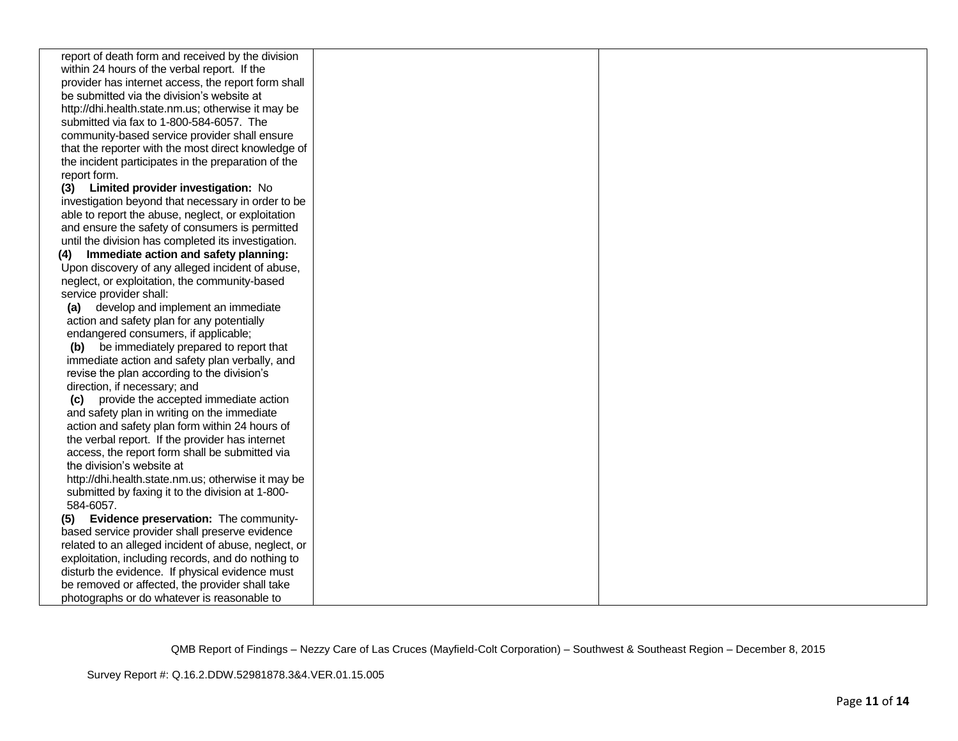| report of death form and received by the division<br>within 24 hours of the verbal report. If the<br>provider has internet access, the report form shall<br>be submitted via the division's website at<br>http://dhi.health.state.nm.us; otherwise it may be<br>submitted via fax to 1-800-584-6057. The<br>community-based service provider shall ensure<br>that the reporter with the most direct knowledge of<br>the incident participates in the preparation of the<br>report form.<br>(3) Limited provider investigation: No<br>investigation beyond that necessary in order to be<br>able to report the abuse, neglect, or exploitation<br>and ensure the safety of consumers is permitted<br>until the division has completed its investigation.<br>Immediate action and safety planning:<br>(4)<br>Upon discovery of any alleged incident of abuse,<br>neglect, or exploitation, the community-based<br>service provider shall:<br>(a) develop and implement an immediate<br>action and safety plan for any potentially<br>endangered consumers, if applicable;<br>(b) be immediately prepared to report that<br>immediate action and safety plan verbally, and<br>revise the plan according to the division's<br>direction, if necessary; and<br>provide the accepted immediate action<br>(C)<br>and safety plan in writing on the immediate<br>action and safety plan form within 24 hours of<br>the verbal report. If the provider has internet<br>access, the report form shall be submitted via<br>the division's website at<br>http://dhi.health.state.nm.us; otherwise it may be<br>submitted by faxing it to the division at 1-800-<br>584-6057.<br>Evidence preservation: The community-<br>(5)<br>based service provider shall preserve evidence<br>related to an alleged incident of abuse, neglect, or<br>exploitation, including records, and do nothing to<br>disturb the evidence. If physical evidence must<br>be removed or affected, the provider shall take<br>photographs or do whatever is reasonable to |  |  |
|---------------------------------------------------------------------------------------------------------------------------------------------------------------------------------------------------------------------------------------------------------------------------------------------------------------------------------------------------------------------------------------------------------------------------------------------------------------------------------------------------------------------------------------------------------------------------------------------------------------------------------------------------------------------------------------------------------------------------------------------------------------------------------------------------------------------------------------------------------------------------------------------------------------------------------------------------------------------------------------------------------------------------------------------------------------------------------------------------------------------------------------------------------------------------------------------------------------------------------------------------------------------------------------------------------------------------------------------------------------------------------------------------------------------------------------------------------------------------------------------------------------------------------------------------------------------------------------------------------------------------------------------------------------------------------------------------------------------------------------------------------------------------------------------------------------------------------------------------------------------------------------------------------------------------------------------------------------------------------------------------------------------------------------|--|--|
|                                                                                                                                                                                                                                                                                                                                                                                                                                                                                                                                                                                                                                                                                                                                                                                                                                                                                                                                                                                                                                                                                                                                                                                                                                                                                                                                                                                                                                                                                                                                                                                                                                                                                                                                                                                                                                                                                                                                                                                                                                       |  |  |
|                                                                                                                                                                                                                                                                                                                                                                                                                                                                                                                                                                                                                                                                                                                                                                                                                                                                                                                                                                                                                                                                                                                                                                                                                                                                                                                                                                                                                                                                                                                                                                                                                                                                                                                                                                                                                                                                                                                                                                                                                                       |  |  |
|                                                                                                                                                                                                                                                                                                                                                                                                                                                                                                                                                                                                                                                                                                                                                                                                                                                                                                                                                                                                                                                                                                                                                                                                                                                                                                                                                                                                                                                                                                                                                                                                                                                                                                                                                                                                                                                                                                                                                                                                                                       |  |  |
|                                                                                                                                                                                                                                                                                                                                                                                                                                                                                                                                                                                                                                                                                                                                                                                                                                                                                                                                                                                                                                                                                                                                                                                                                                                                                                                                                                                                                                                                                                                                                                                                                                                                                                                                                                                                                                                                                                                                                                                                                                       |  |  |
|                                                                                                                                                                                                                                                                                                                                                                                                                                                                                                                                                                                                                                                                                                                                                                                                                                                                                                                                                                                                                                                                                                                                                                                                                                                                                                                                                                                                                                                                                                                                                                                                                                                                                                                                                                                                                                                                                                                                                                                                                                       |  |  |
|                                                                                                                                                                                                                                                                                                                                                                                                                                                                                                                                                                                                                                                                                                                                                                                                                                                                                                                                                                                                                                                                                                                                                                                                                                                                                                                                                                                                                                                                                                                                                                                                                                                                                                                                                                                                                                                                                                                                                                                                                                       |  |  |
|                                                                                                                                                                                                                                                                                                                                                                                                                                                                                                                                                                                                                                                                                                                                                                                                                                                                                                                                                                                                                                                                                                                                                                                                                                                                                                                                                                                                                                                                                                                                                                                                                                                                                                                                                                                                                                                                                                                                                                                                                                       |  |  |
|                                                                                                                                                                                                                                                                                                                                                                                                                                                                                                                                                                                                                                                                                                                                                                                                                                                                                                                                                                                                                                                                                                                                                                                                                                                                                                                                                                                                                                                                                                                                                                                                                                                                                                                                                                                                                                                                                                                                                                                                                                       |  |  |
|                                                                                                                                                                                                                                                                                                                                                                                                                                                                                                                                                                                                                                                                                                                                                                                                                                                                                                                                                                                                                                                                                                                                                                                                                                                                                                                                                                                                                                                                                                                                                                                                                                                                                                                                                                                                                                                                                                                                                                                                                                       |  |  |
|                                                                                                                                                                                                                                                                                                                                                                                                                                                                                                                                                                                                                                                                                                                                                                                                                                                                                                                                                                                                                                                                                                                                                                                                                                                                                                                                                                                                                                                                                                                                                                                                                                                                                                                                                                                                                                                                                                                                                                                                                                       |  |  |
|                                                                                                                                                                                                                                                                                                                                                                                                                                                                                                                                                                                                                                                                                                                                                                                                                                                                                                                                                                                                                                                                                                                                                                                                                                                                                                                                                                                                                                                                                                                                                                                                                                                                                                                                                                                                                                                                                                                                                                                                                                       |  |  |
|                                                                                                                                                                                                                                                                                                                                                                                                                                                                                                                                                                                                                                                                                                                                                                                                                                                                                                                                                                                                                                                                                                                                                                                                                                                                                                                                                                                                                                                                                                                                                                                                                                                                                                                                                                                                                                                                                                                                                                                                                                       |  |  |
|                                                                                                                                                                                                                                                                                                                                                                                                                                                                                                                                                                                                                                                                                                                                                                                                                                                                                                                                                                                                                                                                                                                                                                                                                                                                                                                                                                                                                                                                                                                                                                                                                                                                                                                                                                                                                                                                                                                                                                                                                                       |  |  |
|                                                                                                                                                                                                                                                                                                                                                                                                                                                                                                                                                                                                                                                                                                                                                                                                                                                                                                                                                                                                                                                                                                                                                                                                                                                                                                                                                                                                                                                                                                                                                                                                                                                                                                                                                                                                                                                                                                                                                                                                                                       |  |  |
|                                                                                                                                                                                                                                                                                                                                                                                                                                                                                                                                                                                                                                                                                                                                                                                                                                                                                                                                                                                                                                                                                                                                                                                                                                                                                                                                                                                                                                                                                                                                                                                                                                                                                                                                                                                                                                                                                                                                                                                                                                       |  |  |
|                                                                                                                                                                                                                                                                                                                                                                                                                                                                                                                                                                                                                                                                                                                                                                                                                                                                                                                                                                                                                                                                                                                                                                                                                                                                                                                                                                                                                                                                                                                                                                                                                                                                                                                                                                                                                                                                                                                                                                                                                                       |  |  |
|                                                                                                                                                                                                                                                                                                                                                                                                                                                                                                                                                                                                                                                                                                                                                                                                                                                                                                                                                                                                                                                                                                                                                                                                                                                                                                                                                                                                                                                                                                                                                                                                                                                                                                                                                                                                                                                                                                                                                                                                                                       |  |  |
|                                                                                                                                                                                                                                                                                                                                                                                                                                                                                                                                                                                                                                                                                                                                                                                                                                                                                                                                                                                                                                                                                                                                                                                                                                                                                                                                                                                                                                                                                                                                                                                                                                                                                                                                                                                                                                                                                                                                                                                                                                       |  |  |
|                                                                                                                                                                                                                                                                                                                                                                                                                                                                                                                                                                                                                                                                                                                                                                                                                                                                                                                                                                                                                                                                                                                                                                                                                                                                                                                                                                                                                                                                                                                                                                                                                                                                                                                                                                                                                                                                                                                                                                                                                                       |  |  |
|                                                                                                                                                                                                                                                                                                                                                                                                                                                                                                                                                                                                                                                                                                                                                                                                                                                                                                                                                                                                                                                                                                                                                                                                                                                                                                                                                                                                                                                                                                                                                                                                                                                                                                                                                                                                                                                                                                                                                                                                                                       |  |  |
|                                                                                                                                                                                                                                                                                                                                                                                                                                                                                                                                                                                                                                                                                                                                                                                                                                                                                                                                                                                                                                                                                                                                                                                                                                                                                                                                                                                                                                                                                                                                                                                                                                                                                                                                                                                                                                                                                                                                                                                                                                       |  |  |
|                                                                                                                                                                                                                                                                                                                                                                                                                                                                                                                                                                                                                                                                                                                                                                                                                                                                                                                                                                                                                                                                                                                                                                                                                                                                                                                                                                                                                                                                                                                                                                                                                                                                                                                                                                                                                                                                                                                                                                                                                                       |  |  |
|                                                                                                                                                                                                                                                                                                                                                                                                                                                                                                                                                                                                                                                                                                                                                                                                                                                                                                                                                                                                                                                                                                                                                                                                                                                                                                                                                                                                                                                                                                                                                                                                                                                                                                                                                                                                                                                                                                                                                                                                                                       |  |  |
|                                                                                                                                                                                                                                                                                                                                                                                                                                                                                                                                                                                                                                                                                                                                                                                                                                                                                                                                                                                                                                                                                                                                                                                                                                                                                                                                                                                                                                                                                                                                                                                                                                                                                                                                                                                                                                                                                                                                                                                                                                       |  |  |
|                                                                                                                                                                                                                                                                                                                                                                                                                                                                                                                                                                                                                                                                                                                                                                                                                                                                                                                                                                                                                                                                                                                                                                                                                                                                                                                                                                                                                                                                                                                                                                                                                                                                                                                                                                                                                                                                                                                                                                                                                                       |  |  |
|                                                                                                                                                                                                                                                                                                                                                                                                                                                                                                                                                                                                                                                                                                                                                                                                                                                                                                                                                                                                                                                                                                                                                                                                                                                                                                                                                                                                                                                                                                                                                                                                                                                                                                                                                                                                                                                                                                                                                                                                                                       |  |  |
|                                                                                                                                                                                                                                                                                                                                                                                                                                                                                                                                                                                                                                                                                                                                                                                                                                                                                                                                                                                                                                                                                                                                                                                                                                                                                                                                                                                                                                                                                                                                                                                                                                                                                                                                                                                                                                                                                                                                                                                                                                       |  |  |
|                                                                                                                                                                                                                                                                                                                                                                                                                                                                                                                                                                                                                                                                                                                                                                                                                                                                                                                                                                                                                                                                                                                                                                                                                                                                                                                                                                                                                                                                                                                                                                                                                                                                                                                                                                                                                                                                                                                                                                                                                                       |  |  |
|                                                                                                                                                                                                                                                                                                                                                                                                                                                                                                                                                                                                                                                                                                                                                                                                                                                                                                                                                                                                                                                                                                                                                                                                                                                                                                                                                                                                                                                                                                                                                                                                                                                                                                                                                                                                                                                                                                                                                                                                                                       |  |  |
|                                                                                                                                                                                                                                                                                                                                                                                                                                                                                                                                                                                                                                                                                                                                                                                                                                                                                                                                                                                                                                                                                                                                                                                                                                                                                                                                                                                                                                                                                                                                                                                                                                                                                                                                                                                                                                                                                                                                                                                                                                       |  |  |
|                                                                                                                                                                                                                                                                                                                                                                                                                                                                                                                                                                                                                                                                                                                                                                                                                                                                                                                                                                                                                                                                                                                                                                                                                                                                                                                                                                                                                                                                                                                                                                                                                                                                                                                                                                                                                                                                                                                                                                                                                                       |  |  |
|                                                                                                                                                                                                                                                                                                                                                                                                                                                                                                                                                                                                                                                                                                                                                                                                                                                                                                                                                                                                                                                                                                                                                                                                                                                                                                                                                                                                                                                                                                                                                                                                                                                                                                                                                                                                                                                                                                                                                                                                                                       |  |  |
|                                                                                                                                                                                                                                                                                                                                                                                                                                                                                                                                                                                                                                                                                                                                                                                                                                                                                                                                                                                                                                                                                                                                                                                                                                                                                                                                                                                                                                                                                                                                                                                                                                                                                                                                                                                                                                                                                                                                                                                                                                       |  |  |
|                                                                                                                                                                                                                                                                                                                                                                                                                                                                                                                                                                                                                                                                                                                                                                                                                                                                                                                                                                                                                                                                                                                                                                                                                                                                                                                                                                                                                                                                                                                                                                                                                                                                                                                                                                                                                                                                                                                                                                                                                                       |  |  |
|                                                                                                                                                                                                                                                                                                                                                                                                                                                                                                                                                                                                                                                                                                                                                                                                                                                                                                                                                                                                                                                                                                                                                                                                                                                                                                                                                                                                                                                                                                                                                                                                                                                                                                                                                                                                                                                                                                                                                                                                                                       |  |  |
|                                                                                                                                                                                                                                                                                                                                                                                                                                                                                                                                                                                                                                                                                                                                                                                                                                                                                                                                                                                                                                                                                                                                                                                                                                                                                                                                                                                                                                                                                                                                                                                                                                                                                                                                                                                                                                                                                                                                                                                                                                       |  |  |
|                                                                                                                                                                                                                                                                                                                                                                                                                                                                                                                                                                                                                                                                                                                                                                                                                                                                                                                                                                                                                                                                                                                                                                                                                                                                                                                                                                                                                                                                                                                                                                                                                                                                                                                                                                                                                                                                                                                                                                                                                                       |  |  |
|                                                                                                                                                                                                                                                                                                                                                                                                                                                                                                                                                                                                                                                                                                                                                                                                                                                                                                                                                                                                                                                                                                                                                                                                                                                                                                                                                                                                                                                                                                                                                                                                                                                                                                                                                                                                                                                                                                                                                                                                                                       |  |  |
|                                                                                                                                                                                                                                                                                                                                                                                                                                                                                                                                                                                                                                                                                                                                                                                                                                                                                                                                                                                                                                                                                                                                                                                                                                                                                                                                                                                                                                                                                                                                                                                                                                                                                                                                                                                                                                                                                                                                                                                                                                       |  |  |
|                                                                                                                                                                                                                                                                                                                                                                                                                                                                                                                                                                                                                                                                                                                                                                                                                                                                                                                                                                                                                                                                                                                                                                                                                                                                                                                                                                                                                                                                                                                                                                                                                                                                                                                                                                                                                                                                                                                                                                                                                                       |  |  |
|                                                                                                                                                                                                                                                                                                                                                                                                                                                                                                                                                                                                                                                                                                                                                                                                                                                                                                                                                                                                                                                                                                                                                                                                                                                                                                                                                                                                                                                                                                                                                                                                                                                                                                                                                                                                                                                                                                                                                                                                                                       |  |  |
|                                                                                                                                                                                                                                                                                                                                                                                                                                                                                                                                                                                                                                                                                                                                                                                                                                                                                                                                                                                                                                                                                                                                                                                                                                                                                                                                                                                                                                                                                                                                                                                                                                                                                                                                                                                                                                                                                                                                                                                                                                       |  |  |

Survey Report #: Q.16.2.DDW.52981878.3&4.VER.01.15.005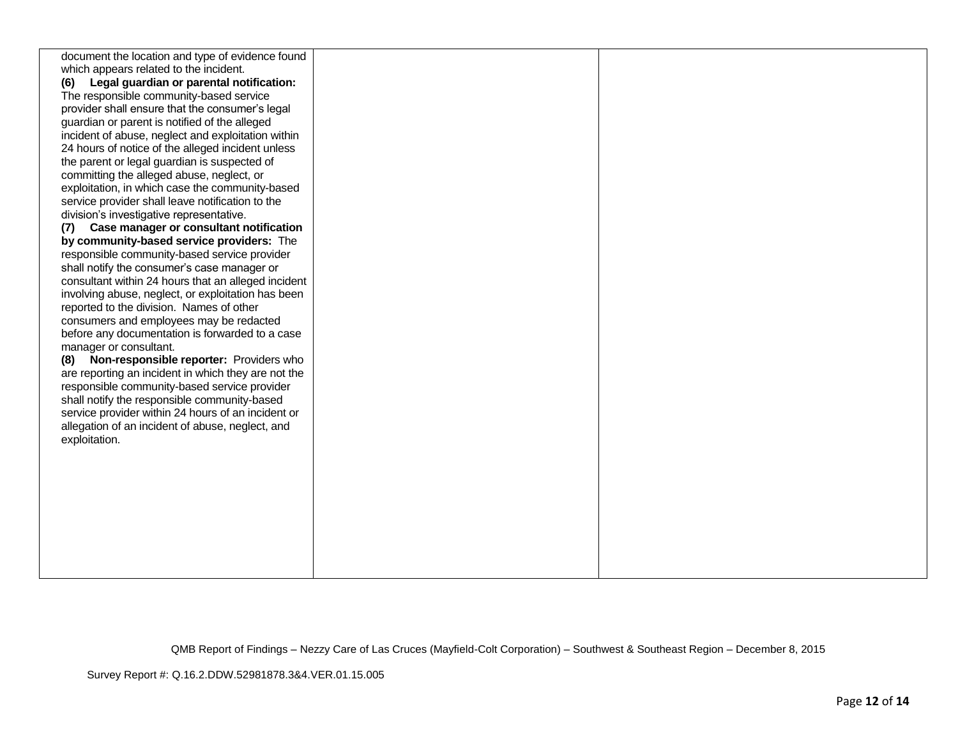| document the location and type of evidence found    |  |
|-----------------------------------------------------|--|
| which appears related to the incident.              |  |
| Legal guardian or parental notification:<br>(6)     |  |
| The responsible community-based service             |  |
| provider shall ensure that the consumer's legal     |  |
| guardian or parent is notified of the alleged       |  |
| incident of abuse, neglect and exploitation within  |  |
| 24 hours of notice of the alleged incident unless   |  |
| the parent or legal guardian is suspected of        |  |
| committing the alleged abuse, neglect, or           |  |
| exploitation, in which case the community-based     |  |
| service provider shall leave notification to the    |  |
| division's investigative representative.            |  |
| (7) Case manager or consultant notification         |  |
| by community-based service providers: The           |  |
| responsible community-based service provider        |  |
| shall notify the consumer's case manager or         |  |
| consultant within 24 hours that an alleged incident |  |
| involving abuse, neglect, or exploitation has been  |  |
| reported to the division. Names of other            |  |
| consumers and employees may be redacted             |  |
| before any documentation is forwarded to a case     |  |
| manager or consultant.                              |  |
| Non-responsible reporter: Providers who<br>(8)      |  |
| are reporting an incident in which they are not the |  |
| responsible community-based service provider        |  |
| shall notify the responsible community-based        |  |
| service provider within 24 hours of an incident or  |  |
| allegation of an incident of abuse, neglect, and    |  |
|                                                     |  |
| exploitation.                                       |  |
|                                                     |  |
|                                                     |  |
|                                                     |  |
|                                                     |  |
|                                                     |  |
|                                                     |  |
|                                                     |  |
|                                                     |  |
|                                                     |  |
|                                                     |  |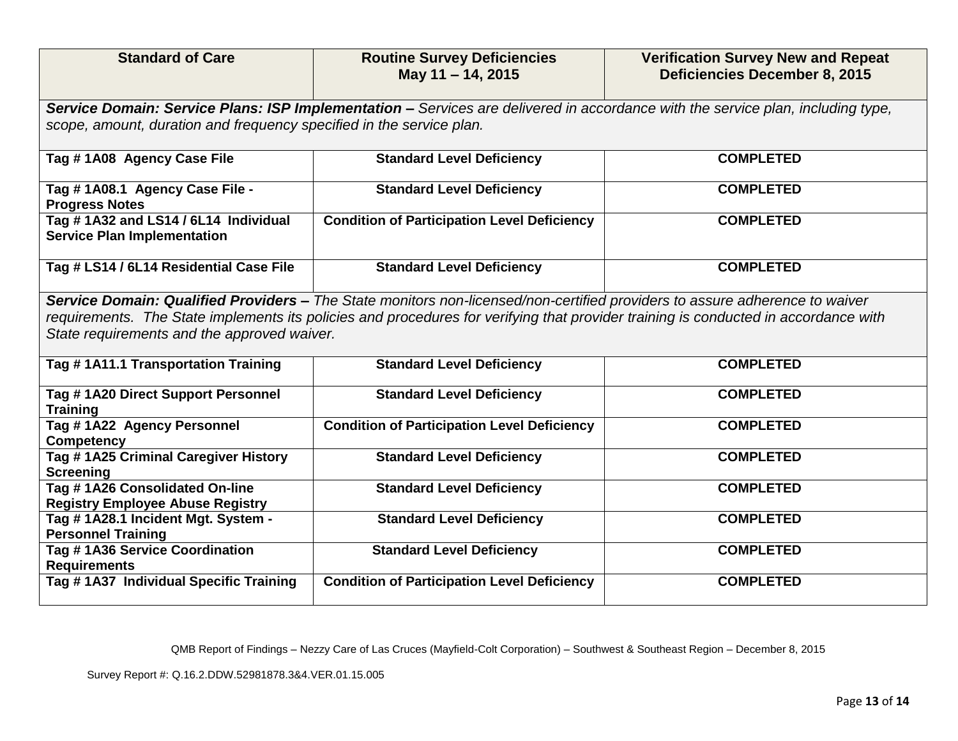| <b>Standard of Care</b>                                                                                                                                                                                                                                                                                           | <b>Routine Survey Deficiencies</b><br>May 11 - 14, 2015                                                                         | <b>Verification Survey New and Repeat</b><br><b>Deficiencies December 8, 2015</b> |  |
|-------------------------------------------------------------------------------------------------------------------------------------------------------------------------------------------------------------------------------------------------------------------------------------------------------------------|---------------------------------------------------------------------------------------------------------------------------------|-----------------------------------------------------------------------------------|--|
|                                                                                                                                                                                                                                                                                                                   | Service Domain: Service Plans: ISP Implementation - Services are delivered in accordance with the service plan, including type, |                                                                                   |  |
| scope, amount, duration and frequency specified in the service plan.                                                                                                                                                                                                                                              |                                                                                                                                 |                                                                                   |  |
| Tag #1A08 Agency Case File                                                                                                                                                                                                                                                                                        | <b>Standard Level Deficiency</b>                                                                                                | <b>COMPLETED</b>                                                                  |  |
| Tag # 1A08.1 Agency Case File -<br><b>Progress Notes</b>                                                                                                                                                                                                                                                          | <b>Standard Level Deficiency</b>                                                                                                | <b>COMPLETED</b>                                                                  |  |
| Tag #1A32 and LS14 / 6L14 Individual<br><b>Service Plan Implementation</b>                                                                                                                                                                                                                                        | <b>Condition of Participation Level Deficiency</b>                                                                              | <b>COMPLETED</b>                                                                  |  |
| Tag # LS14 / 6L14 Residential Case File                                                                                                                                                                                                                                                                           | <b>Standard Level Deficiency</b>                                                                                                | <b>COMPLETED</b>                                                                  |  |
| Service Domain: Qualified Providers - The State monitors non-licensed/non-certified providers to assure adherence to waiver<br>requirements. The State implements its policies and procedures for verifying that provider training is conducted in accordance with<br>State requirements and the approved waiver. |                                                                                                                                 |                                                                                   |  |
| Tag #1A11.1 Transportation Training                                                                                                                                                                                                                                                                               | <b>Standard Level Deficiency</b>                                                                                                | <b>COMPLETED</b>                                                                  |  |
| Tag #1A20 Direct Support Personnel<br><b>Training</b>                                                                                                                                                                                                                                                             | <b>Standard Level Deficiency</b>                                                                                                | <b>COMPLETED</b>                                                                  |  |
| Tag #1A22 Agency Personnel<br><b>Competency</b>                                                                                                                                                                                                                                                                   | <b>Condition of Participation Level Deficiency</b>                                                                              | <b>COMPLETED</b>                                                                  |  |
| Tag #1A25 Criminal Caregiver History<br><b>Screening</b>                                                                                                                                                                                                                                                          | <b>Standard Level Deficiency</b>                                                                                                | <b>COMPLETED</b>                                                                  |  |
| Tag # 1A26 Consolidated On-line<br><b>Registry Employee Abuse Registry</b>                                                                                                                                                                                                                                        | <b>Standard Level Deficiency</b>                                                                                                | <b>COMPLETED</b>                                                                  |  |
| Tag #1A28.1 Incident Mgt. System -<br><b>Personnel Training</b>                                                                                                                                                                                                                                                   | <b>Standard Level Deficiency</b>                                                                                                | <b>COMPLETED</b>                                                                  |  |
| Tag #1A36 Service Coordination<br><b>Requirements</b>                                                                                                                                                                                                                                                             | <b>Standard Level Deficiency</b>                                                                                                | <b>COMPLETED</b>                                                                  |  |
| Tag # 1A37 Individual Specific Training                                                                                                                                                                                                                                                                           | <b>Condition of Participation Level Deficiency</b>                                                                              | <b>COMPLETED</b>                                                                  |  |

Survey Report #: Q.16.2.DDW.52981878.3&4.VER.01.15.005